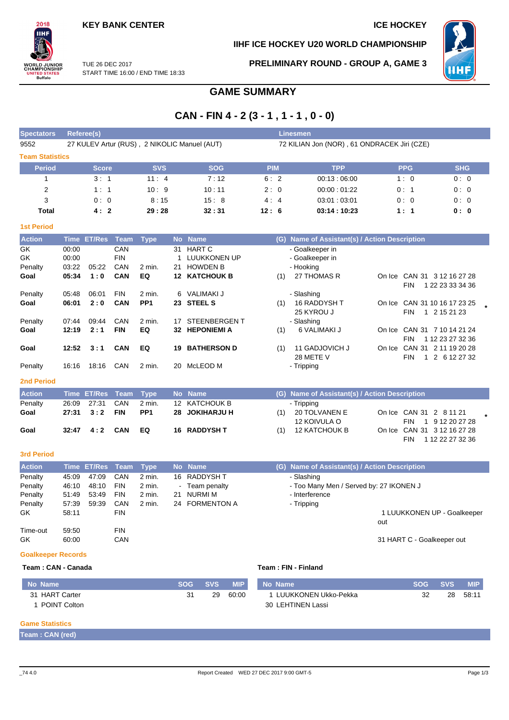## **IIHF ICE HOCKEY U20 WORLD CHAMPIONSHIP**



TUE 26 DEC 2017 START TIME 16:00 / END TIME 18:33 **PRELIMINARY ROUND - GROUP A, GAME 3**



# **GAME SUMMARY**

# **CAN - FIN 4 - 2 (3 - 1 , 1 - 1 , 0 - 0)**

| <b>Spectators</b>      | Referee(s)                                   | <b>Linesmen</b> |            |                                             |             |            |            |  |  |  |  |  |
|------------------------|----------------------------------------------|-----------------|------------|---------------------------------------------|-------------|------------|------------|--|--|--|--|--|
| 9552                   | 27 KULEV Artur (RUS), 2 NIKOLIC Manuel (AUT) |                 |            | 72 KILIAN Jon (NOR), 61 ONDRACEK Jiri (CZE) |             |            |            |  |  |  |  |  |
| <b>Team Statistics</b> |                                              |                 |            |                                             |             |            |            |  |  |  |  |  |
| <b>Period</b>          | <b>Score</b>                                 | <b>SVS</b>      | <b>SOG</b> | <b>PIM</b>                                  | <b>TPP</b>  | <b>PPG</b> | <b>SHG</b> |  |  |  |  |  |
|                        | 3:1                                          | 11:4            | 7:12       | 6:2                                         | 00:13:06:00 | 1:0        | 0:0        |  |  |  |  |  |
| 2                      | 1:1                                          | 10:9            | 10:11      | 2:0                                         | 00:00:01:22 | 0:1        | 0:0        |  |  |  |  |  |
| 3                      | 0:0                                          | 8:15            | 15:8       | 4:4                                         | 03:01:03:01 | 0:0        | 0:0        |  |  |  |  |  |
| Total                  | 4:2                                          | 29:28           | 32:31      | 12:6                                        | 03:14:10:23 | 1:1        | 0:0        |  |  |  |  |  |

| ۳    |                                   |      |
|------|-----------------------------------|------|
| ____ | and the state of the state of the | ---- |

| <b>Action</b>     |       | Time ET/Res | Team       | Type            |    | No Name             |     | (G) Name of Assistant(s) / Action Description |        |                                |
|-------------------|-------|-------------|------------|-----------------|----|---------------------|-----|-----------------------------------------------|--------|--------------------------------|
| GK                | 00:00 |             | CAN        |                 | 31 | <b>HART C</b>       |     | - Goalkeeper in                               |        |                                |
| GK                | 00:00 |             | <b>FIN</b> |                 |    | LUUKKONEN UP        |     | - Goalkeeper in                               |        |                                |
| Penalty           | 03:22 | 05:22       | CAN        | 2 min.          | 21 | <b>HOWDEN B</b>     |     | - Hooking                                     |        |                                |
| Goal              | 05:34 | 1:0         | <b>CAN</b> | EQ              | 12 | <b>KATCHOUK B</b>   | (1) | 27 THOMAS R                                   | On Ice | <b>CAN 31</b><br>3 12 16 27 28 |
|                   |       |             |            |                 |    |                     |     |                                               |        | 1 22 23 33 34 36<br><b>FIN</b> |
| Penalty           | 05:48 | 06:01       | <b>FIN</b> | $2$ min.        | 6  | VALIMAKI J          |     | - Slashing                                    |        |                                |
| Goal              | 06:01 | 2:0         | <b>CAN</b> | PP <sub>1</sub> |    | 23 STEEL S          | (1) | <b>16 RADDYSH T</b>                           |        | On Ice CAN 31 10 16 17 23 25   |
|                   |       |             |            |                 |    |                     |     | 25 KYROU J                                    |        | <b>FIN</b><br>1 2 15 21 23     |
| Penalty           | 07:44 | 09:44       | <b>CAN</b> | $2$ min.        | 17 | <b>STEENBERGENT</b> |     | - Slashing                                    |        |                                |
| Goal              | 12:19 | 2:1         | <b>FIN</b> | EQ              | 32 | <b>HEPONIEMI A</b>  | (1) | 6 VALIMAKI J                                  | On Ice | CAN 31 7 10 14 21 24           |
|                   |       |             |            |                 |    |                     |     |                                               |        | 1 12 23 27 32 36<br><b>FIN</b> |
| Goal              | 12:52 | 3:1         | <b>CAN</b> | EQ              | 19 | <b>BATHERSON D</b>  | (1) | 11 GADJOVICH J                                | On Ice | CAN 31 2 11 19 20 28           |
|                   |       |             |            |                 |    |                     |     | 28 METE V                                     |        | <b>FIN</b><br>2 6 12 27 32     |
| Penalty           | 16:16 | 18:16       | CAN        | $2$ min.        | 20 | McLEOD M            |     | - Tripping                                    |        |                                |
| <b>2nd Period</b> |       |             |            |                 |    |                     |     |                                               |        |                                |

| <b>Action</b> | Time ET/Res Team Type |     |                 | <b>No</b> Name      |     | (G) Name of Assistant(s) / Action Description |     |                                                 |  |
|---------------|-----------------------|-----|-----------------|---------------------|-----|-----------------------------------------------|-----|-------------------------------------------------|--|
| Penalty       | 26:09 27:31           | CAN | 2 min.          | 12 KATCHOUK B       |     | - Tripping                                    |     |                                                 |  |
| Goal          | 27:31 3:2             | FIN | PP <sub>1</sub> | 28 JOKIHARJU H      | (1) | 20 TOLVANEN E<br>12 KOIVULA O                 | FIN | On Ice CAN 31 2 8 11 21<br>1 9 12 20 27 28      |  |
| Goal          | 32:47  4:2  CAN       |     | EQ              | <b>16 RADDYSH T</b> | (1) | 12 KATCHOUK B                                 | FIN | On Ice CAN 31 3 12 16 27 28<br>1 12 22 27 32 36 |  |

## **3rd Period**

| <b>Action</b> |       | Time ET/Res Team |            | Type     |    | No Name        | (G) Name of Assistant(s) / Action Description |                             |
|---------------|-------|------------------|------------|----------|----|----------------|-----------------------------------------------|-----------------------------|
| Penalty       | 45:09 | 47:09            | CAN        | 2 min.   |    | 16 RADDYSH T   | - Slashing                                    |                             |
| Penalty       | 46:10 | 48:10            | <b>FIN</b> | $2$ min. |    | - Team penalty | - Too Many Men / Served by: 27 IKONEN J       |                             |
| Penalty       | 51:49 | 53:49            | <b>FIN</b> | 2 min.   | 21 | NURMI M        | - Interference                                |                             |
| Penalty       | 57:39 | 59.39            | CAN        | 2 min.   |    | 24 FORMENTON A | - Tripping                                    |                             |
| GK.           | 58:11 |                  | <b>FIN</b> |          |    |                |                                               | 1 LUUKKONEN UP - Goalkeeper |
|               |       |                  |            |          |    |                |                                               | out                         |
| Time-out      | 59:50 |                  | <b>FIN</b> |          |    |                |                                               |                             |
| GK            | 60:00 |                  | CAN        |          |    |                |                                               | 31 HART C - Goalkeeper out  |

### **Goalkeeper Records**

### **Team : CAN - Canada Team : FIN - Finland**

| No Name             | <b>SOG</b> | <b>SVS</b> | <b>MIP</b> | No Name                | <b>SOG</b> | <b>SVS</b> | <b>MIP</b> |
|---------------------|------------|------------|------------|------------------------|------------|------------|------------|
| 31 HART Carter      | 31         | 29         | 60:00      | 1 LUUKKONEN Ukko-Pekka | 32         | 28         | 58:11      |
| <b>POINT Colton</b> |            |            |            | 30 LEHTINEN Lassi      |            |            |            |

### **Game Statistics**

**Team : CAN (red)**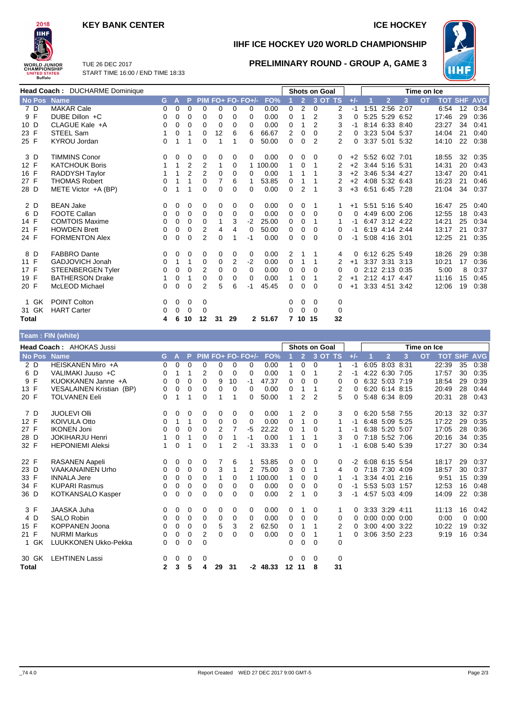## **KEY BANK CENTER ICE HOCKEY**



**IIHF ICE HOCKEY U20 WORLD CHAMPIONSHIP**

**PRELIMINARY ROUND - GROUP A, GAME 3**



TUE 26 DEC 2017 START TIME 16:00 / END TIME 18:33

|       |        | Head Coach: DUCHARME Dominique |    |             | <b>Shots on Goal</b> |                |    |                |                   |          |                | Time on Ice    |                |                |       |                   |                |   |           |            |    |                |
|-------|--------|--------------------------------|----|-------------|----------------------|----------------|----|----------------|-------------------|----------|----------------|----------------|----------------|----------------|-------|-------------------|----------------|---|-----------|------------|----|----------------|
|       | No Pos | <b>Name</b>                    | G. | A           | P                    |                |    |                | PIM FO+ FO- FO+/- | FO%      |                | $\overline{2}$ |                | 3 OT TS        | $+/-$ |                   | $\overline{2}$ | 3 | <b>OT</b> | <b>TOT</b> |    | <b>SHF AVG</b> |
|       | 7 D    | <b>MAKAR Cale</b>              | 0  | 0           | 0                    | 0              | 0  | 0              | 0                 | 0.00     | $\mathbf 0$    | 2              | $\mathbf 0$    | 2              | -1    | 1:51              | 2:56 2:07      |   |           | 6:54       | 12 | 0:34           |
| 9 F   |        | DUBE Dillon +C                 | 0  | 0           | $\Omega$             | 0              | 0  | $\Omega$       | 0                 | 0.00     | $\Omega$       | 1              | 2              | 3              | 0     |                   | 5:25 5:29 6:52 |   |           | 17:46      | 29 | 0:36           |
| 10 D  |        | CLAGUE Kale +A                 | 0  | $\mathbf 0$ | 0                    | 0              | 0  | 0              | 0                 | 0.00     | $\Omega$       |                | $\overline{2}$ | 3              | -1    |                   | 8:14 6:33 8:40 |   |           | 23:27      | 34 | 0:41           |
| 23 F  |        | <b>STEEL Sam</b>               | 1  | 0           | 1                    | 0              | 12 | 6              | 6                 | 66.67    | $\overline{2}$ | 0              | $\Omega$       | 2              | 0     |                   | 3:23 5:04 5:37 |   |           | 14:04      | 21 | 0:40           |
| 25 F  |        | <b>KYROU Jordan</b>            | 0  | 1           |                      | $\Omega$       |    | 1              | 0                 | 50.00    | 0              | $\mathbf 0$    | $\mathcal{P}$  | $\mathfrak{p}$ | 0     |                   | 3:37 5:01 5:32 |   |           | 14:10      | 22 | 0:38           |
|       | 3 D    | <b>TIMMINS Conor</b>           | 0  | 0           | 0                    | 0              | 0  | 0              | 0                 | 0.00     | 0              | 0              | 0              | 0              | $+2$  |                   | 5:52 6:02 7:01 |   |           | 18:55      | 32 | 0:35           |
| 12 F  |        | <b>KATCHOUK Boris</b>          |    | 1           | 2                    | 2              | 1  | 0              |                   | 1 100.00 | 1              | 0              | 1              | 2              |       | +2 3:44 5:16 5:31 |                |   |           | 14:31      | 20 | 0:43           |
| 16 F  |        | RADDYSH Taylor                 |    |             | $\overline{2}$       | $\overline{2}$ | 0  | 0              | 0                 | 0.00     |                |                |                | 3              | $+2$  |                   | 3:46 5:34 4:27 |   |           | 13:47      | 20 | 0:41           |
| 27 F  |        | <b>THOMAS Robert</b>           | 0  | 1           | 1                    | 0              | 7  | 6              |                   | 53.85    | 0              |                |                | 2              | $+2$  |                   | 4:08 5:32 6:43 |   |           | 16:23      | 21 | 0:46           |
| 28 D  |        | METE Victor $+A$ (BP)          | 0  | 1           | 1                    | $\Omega$       | 0  | 0              | 0                 | 0.00     | $\Omega$       | 2              | 1              | 3              | $+3$  |                   | 6:51 6:45 7:28 |   |           | 21:04      | 34 | 0:37           |
|       | 2 D    | <b>BEAN Jake</b>               | 0  | 0           | 0                    | 0              | 0  | 0              | 0                 | 0.00     | 0              | 0              | 1              |                | $+1$  |                   | 5:51 5:16 5:40 |   |           | 16:47      | 25 | 0:40           |
|       | 6 D    | <b>FOOTE Callan</b>            | 0  | 0           | 0                    | 0              | 0  | 0              | 0                 | 0.00     | 0              | 0              | 0              | 0              | 0     |                   | 4:49 6:00 2:06 |   |           | 12:55      | 18 | 0:43           |
| 14 F  |        | <b>COMTOIS Maxime</b>          | 0  | 0           | 0                    | 0              | 1  | 3              | $-2$              | 25.00    | $\mathbf 0$    | 0              | 1              |                | -1    |                   | 6:47 3:12 4:22 |   |           | 14:21      | 25 | 0:34           |
| 21 F  |        | <b>HOWDEN Brett</b>            | 0  | 0           | 0                    | 2              | 4  | 4              | $\Omega$          | 50.00    | 0              | 0              | $\Omega$       | 0              | $-1$  |                   | 6:19 4:14 2:44 |   |           | 13:17      | 21 | 0:37           |
| 24 F  |        | <b>FORMENTON Alex</b>          | 0  | 0           | 0                    | 2              | 0  |                | $-1$              | 0.00     | $\mathbf 0$    | 0              | $\Omega$       | 0              | $-1$  |                   | 5:08 4:16 3:01 |   |           | 12:25      | 21 | 0:35           |
| 8 D   |        | <b>FABBRO Dante</b>            | 0  | 0           | 0                    | 0              | 0  | 0              | 0                 | 0.00     | 2              |                |                | 4              | 0     |                   | 6.12 6.25 5.49 |   |           | 18:26      | 29 | 0:38           |
| 11 F  |        | <b>GADJOVICH Jonah</b>         | 0  | 1           | 1                    | 0              | 0  | $\overline{2}$ | $-2$              | 0.00     | 0              | 1              |                | 2              | $+1$  |                   | 3:37 3:31 3:13 |   |           | 10:21      | 17 | 0:36           |
| 17 F  |        | STEENBERGEN Tyler              | 0  | 0           | $\Omega$             | 2              | 0  | $\Omega$       | $\Omega$          | 0.00     | 0              | 0              | 0              | 0              | 0     |                   | 2:12 2:13 0:35 |   |           | 5:00       | 8  | 0:37           |
| 19 F  |        | <b>BATHERSON Drake</b>         |    | 0           | 1                    | 0              | 0  | 0              | $\Omega$          | 0.00     | 1              | 0              |                | 2              | $+1$  |                   | 2:12 4:17 4:47 |   |           | 11:16      | 15 | 0:45           |
| 20 F  |        | <b>McLEOD Michael</b>          | 0  | 0           | $\Omega$             | 2              | 5  | 6              | -1                | 45.45    | $\Omega$       | $\Omega$       | $\Omega$       | 0              | $+1$  |                   | 3:33 4:51 3:42 |   |           | 12:06      | 19 | 0:38           |
|       | 1 GK   | POINT Colton                   | 0  | 0           | 0                    | 0              |    |                |                   |          | 0              | $\mathbf{0}$   | - 0            | 0              |       |                   |                |   |           |            |    |                |
|       | 31 GK  | <b>HART Carter</b>             | 0  | 0           | 0                    | 0              |    |                |                   |          | 0              | 0              | $\Omega$       | 0              |       |                   |                |   |           |            |    |                |
| Total |        |                                | 4  | 6           | 10                   | 12             | 31 | 29             |                   | 2 51.67  |                | 10             | 15             | 32             |       |                   |                |   |           |            |    |                |

|  | Team: FIN (white) |
|--|-------------------|
|  |                   |
|  |                   |

|                   | <b>Head Coach: AHOKAS Jussi</b> |                |   |          |          |    |          |                   |        | <b>Shots on Goal</b> |                |                |         |       | Time on Ice |                      |      |           |            |            |            |
|-------------------|---------------------------------|----------------|---|----------|----------|----|----------|-------------------|--------|----------------------|----------------|----------------|---------|-------|-------------|----------------------|------|-----------|------------|------------|------------|
| No Pos Name       |                                 | G.             | А | P        |          |    |          | PIM FO+ FO- FO+/- | FO%    |                      | $\overline{2}$ |                | 3 OT TS | $+/-$ |             | $\overline{2}$       | 3    | <b>OT</b> | <b>TOT</b> | <b>SHF</b> | <b>AVG</b> |
| 2 D               | HEISKANEN Miro +A               | 0              | 0 | 0        | 0        | 0  | 0        | 0                 | 0.00   |                      | 0              | 0              |         | -1    | 6:05        | 8:03 8:31            |      |           | 22:39      | 35         | 0:38       |
| 6 D               | VALIMAKI Juuso +C               | 0              |   | 1        | 2        | 0  | $\Omega$ | 0                 | 0.00   |                      | 0              |                | 2       | $-1$  |             | 4:22 6:30 7:05       |      |           | 17:57      | 30         | 0:35       |
| 9 F               | KUOKKANEN Janne +A              | 0              | 0 | $\Omega$ | 0        | 9  | 10       | -1                | 47.37  | 0                    | 0              | 0              | 0       | 0     |             | 6:32 5:03 7:19       |      |           | 18:54      | 29         | 0:39       |
| 13 F              | <b>VESALAINEN Kristian (BP)</b> | 0              | 0 | $\Omega$ | 0        | 0  | $\Omega$ | $\Omega$          | 0.00   | $\Omega$             |                | 1              | 2       | 0     |             | 6:20 6:14 8:15       |      |           | 20:49      | 28         | 0:44       |
| 20 F              | <b>TOLVANEN Eeli</b>            | 0              |   | 1        | 0        | 1  |          | 0                 | 50.00  | 1                    | 2              | $\overline{2}$ | 5       | 0     |             | 5:48 6:34 8:09       |      |           | 20:31      | 28         | 0:43       |
| 7 D               | <b>JUOLEVI OIII</b>             | 0              | 0 | 0        | 0        | 0  | 0        | 0                 | 0.00   |                      | 2              | 0              | 3       | 0     |             | 6:20 5:58 7:55       |      |           | 20:13      | 32         | 0:37       |
| 12 F              | <b>KOIVULA Otto</b>             | 0              | 1 | 1        | 0        | 0  | 0        | $\Omega$          | 0.00   | 0                    | 1              | 0              |         | -1    |             | 6:48 5:09 5:25       |      |           | 17:22      | 29         | 0:35       |
| 27 F              | <b>IKONEN Joni</b>              | 0              | 0 | $\Omega$ | 0        | 2  |          | -5                | 22.22  | $\Omega$             |                | 0              |         | -1    |             | 6:38 5:20 5:07       |      |           | 17:05      | 28         | 0:36       |
| 28 D              | <b>JOKIHARJU Henri</b>          |                | 0 | 1        | 0        | 0  | 1        | -1                | 0.00   |                      |                |                | 3       | 0     |             | 7:18 5:52 7:06       |      |           | 20:16      | 34         | 0:35       |
| 32 F              | <b>HEPONIEMI Aleksi</b>         | 1              | 0 |          | 0        | 1  | 2        | -1                | 33.33  | 1                    | 0              | 0              |         | -1    |             | 6:08 5:40 5:39       |      |           | 17:27      | 30         | 0:34       |
| 22 F              | RASANEN Aapeli                  | 0              | 0 | 0        | 0        | 7  | 6        |                   | 53.85  | 0                    | 0              | 0              | 0       | $-2$  |             | 6:08 6:15 5:54       |      |           | 18:17      | 29         | 0:37       |
| 23 D              | <b>VAAKANAINEN Urho</b>         | 0              | 0 | 0        | $\Omega$ | 3  |          | $\overline{2}$    | 75.00  | 3                    | 0              | 1              | 4       | 0     |             | 7:18 7:30 4:09       |      |           | 18:57      | 30         | 0:37       |
| 33 F              | <b>INNALA Jere</b>              | 0              | 0 | 0        | 0        | 1  | $\Omega$ |                   | 100.00 | 1                    | 0              | 0              |         | -1    |             | $3:34$ 4:01          | 2:16 |           | 9:51       | 15         | 0:39       |
| 34 F              | <b>KUPARI Rasmus</b>            | 0              | 0 | 0        | 0        | 0  | $\Omega$ | 0                 | 0.00   | 0                    | 0              | 0              | 0       | $-1$  |             | 5:53 5:03 1:57       |      |           | 12:53      | 16         | 0:48       |
| 36 D              | KOTKANSALO Kasper               | 0              | 0 | $\Omega$ | 0        | 0  | 0        | 0                 | 0.00   | $\overline{2}$       |                | 0              | 3       | -1    |             | 4:57 5:03 4:09       |      |           | 14:09      | 22         | 0:38       |
| 3 F               | <b>JAASKA Juha</b>              | 0              | 0 | 0        | 0        | 0  | 0        | 0                 | 0.00   | 0                    |                | 0              |         | 0     |             | 3:33 3:29 4:11       |      |           | 11:13      | 16         | 0:42       |
| 4 D               | <b>SALO Robin</b>               | 0              | 0 | 0        | 0        | 0  | 0        | 0                 | 0.00   | 0                    | 0              | 0              | 0       | 0     |             | $0:00$ $0:00$ $0:00$ |      |           | 0:00       | 0          | 0:00       |
| 15 F              | <b>KOPPANEN Joona</b>           | 0              | 0 | 0        | 0        | 5  | 3        | $\overline{2}$    | 62.50  | 0                    | 1              |                | 2       | 0     |             | 3:00 4:00 3:22       |      |           | 10:22      | 19         | 0:32       |
| 21 F              | <b>NURMI Markus</b>             | 0              | 0 | 0        | 2        | 0  | 0        | 0                 | 0.00   | 0                    | 0              |                |         | 0     |             | 3:06 3:50 2:23       |      |           | 9:19       | 16         | 0:34       |
| GK<br>$\mathbf 1$ | LUUKKONEN Ukko-Pekka            | 0              | 0 | 0        | 0        |    |          |                   |        | 0                    | 0              | 0              | 0       |       |             |                      |      |           |            |            |            |
| 30 GK             | <b>LEHTINEN Lassi</b>           | 0              | 0 | 0        | 0        |    |          |                   |        | 0                    | 0              | $\Omega$       | 0       |       |             |                      |      |           |            |            |            |
| <b>Total</b>      |                                 | $\overline{2}$ | 3 | 5        | 4        | 29 | 31       | -2                | 48.33  | 12 <sub>2</sub>      | 11             | 8              | 31      |       |             |                      |      |           |            |            |            |